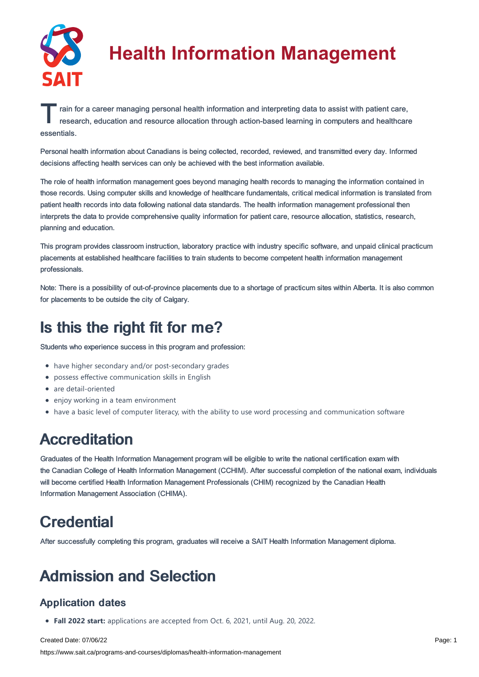

# **Health Information Management**

T rain for a career managing personal health information and interpreting data to assist with patient care, research, education and resource allocation through action-based learning in computers and healthcare research, education and resource allocation through action-based learning in computers and healthcare essentials.

Personal health information about Canadians is being collected, recorded, reviewed, and transmitted every day. Informed decisions affecting health services can only be achieved with the best information available.

The role of health information management goes beyond managing health records to managing the information contained in those records. Using computer skills and knowledge of healthcare fundamentals, critical medical information is translated from patient health records into data following national data standards. The health information management professional then interprets the data to provide comprehensive quality information for patient care, resource allocation, statistics, research, planning and education.

This program provides classroom instruction, laboratory practice with industry specific software, and unpaid clinical practicum placements at established healthcare facilities to train students to become competent health information management professionals.

Note: There is a possibility of out-of-province placements due to a shortage of practicum sites within Alberta. It is also common for placements to be outside the city of Calgary.

# Is this the right fit for me?

Students who experience success in this program and profession:

- have higher secondary and/or post-secondary grades
- possess effective communication skills in English
- are detail-oriented
- enjoy working in a team environment
- have a basic level of computer literacy, with the ability to use word processing and communication software

# **Accreditation**

Graduates of the Health Information Management program will be eligible to write the national certification exam with the Canadian College of Health Information Management (CCHIM). After successful completion of the national exam, individuals will become certified Health Information Management Professionals (CHIM) recognized by the Canadian Health Information Management Association (CHIMA).

# **Credential**

After successfully completing this program, graduates will receive a SAIT Health Information Management diploma.

# Admission and Selection

# Application dates

**Fall 2022 start:** applications are accepted from Oct. 6, 2021, until Aug. 20, 2022.

Created Date: 07/06/22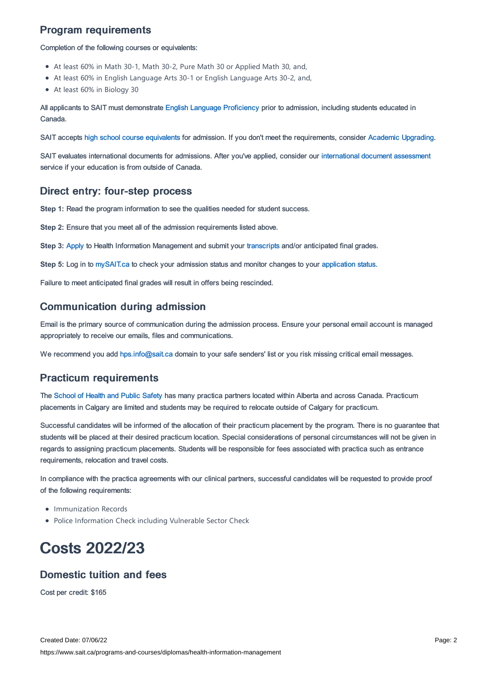# Program requirements

Completion of the following courses or equivalents:

- At least 60% in Math 30-1, Math 30-2, Pure Math 30 or Applied Math 30, and,
- At least 60% in English Language Arts 30-1 or English Language Arts 30-2, and,
- At least 60% in Biology 30

All applicants to SAIT must demonstrate English Language [Proficiency](https://www.sait.ca/admissions/before-you-apply/english-proficiency) prior to admission, including students educated in Canada.

SAIT accepts high school course [equivalents](https://www.sait.ca/admissions/before-you-apply/high-school-course-equivalencies) for admission. If you don't meet the requirements, consider Academic [Upgrading.](https://www.sait.ca/programs-and-courses/academic-upgrading)

SAIT evaluates international documents for admissions. After you've applied, consider our [international](https://www.sait.ca/admissions/after-you-apply/international-document-assessment) document assessment service if your education is from outside of Canada.

### Direct entry: four-step process

**Step 1:** Read the program information to see the qualities needed for student success.

**Step 2:** Ensure that you meet all of the admission requirements listed above.

**Step 3:** [Apply](https://www.sait.ca/admissions/apply) to Health Information Management and submit your [transcripts](https://www.sait.ca/admissions/after-you-apply/transcripts-and-supporting-documents) and/or anticipated final grades.

**Step 5:** Log in to [mySAIT.ca](http://www.mysait.ca/) to check your admission status and monitor changes to your [application](https://www.sait.ca/admissions/after-you-apply/tracking-your-application) status.

Failure to meet anticipated final grades will result in offers being rescinded.

# Communication during admission

Email is the primary source of communication during the admission process. Ensure your personal email account is managed appropriately to receive our emails, files and communications.

We recommend you add [hps.info@sait.ca](https://sait.camailto:hps.info@sait.ca) domain to your safe senders' list or you risk missing critical email messages.

### Practicum requirements

The [School](https://www.sait.ca/sait-schools/school-of-health-and-public-safety) of Health and Public Safety has many practica partners located within Alberta and across Canada. Practicum placements in Calgary are limited and students may be required to relocate outside of Calgary for practicum.

Successful candidates will be informed of the allocation of their practicum placement by the program. There is no guarantee that students will be placed at their desired practicum location. Special considerations of personal circumstances will not be given in regards to assigning practicum placements. Students will be responsible for fees associated with practica such as entrance requirements, relocation and travel costs.

In compliance with the practica agreements with our clinical partners, successful candidates will be requested to provide proof of the following requirements:

- Immunization Records
- Police Information Check including Vulnerable Sector Check

# Costs 2022/23

# Domestic tuition and fees

Cost per credit: \$165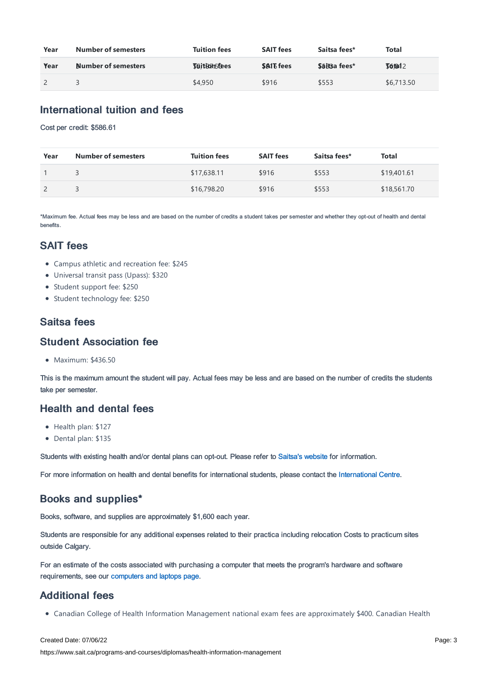| Year | <b>Number of semesters</b> | <b>Tuition fees</b> | <b>SAIT fees</b> | Saitsa fees*        | <b>Total</b> |
|------|----------------------------|---------------------|------------------|---------------------|--------------|
| Year | Number of semesters        | <b>Tuitionsfees</b> | <b>SAIT fees</b> | <b>Saitsa fees*</b> | J6612        |
|      |                            | \$4,950             | \$916            | \$553               | \$6,713.50   |

## International tuition and fees

Cost per credit: \$586.61

| Year | <b>Number of semesters</b> | <b>Tuition fees</b> | <b>SAIT fees</b> | Saitsa fees* | Total       |
|------|----------------------------|---------------------|------------------|--------------|-------------|
|      |                            | \$17,638.11         | \$916            | \$553        | \$19,401.61 |
|      |                            | \$16,798.20         | \$916            | \$553        | \$18,561.70 |

\*Maximum fee. Actual fees may be less and are based on the number of credits a student takes per semester and whether they opt-out of health and dental benefits.

## SAIT fees

- Campus athletic and recreation fee: \$245
- Universal transit pass (Upass): \$320
- Student support fee: \$250
- Student technology fee: \$250

## Saitsa fees

#### Student Association fee

Maximum: \$436.50

This is the maximum amount the student will pay. Actual fees may be less and are based on the number of credits the students take per semester.

### Health and dental fees

- Health plan: \$127
- Dental plan: \$135

Students with existing health and/or dental plans can opt-out. Please refer to [Saitsa's](https://saitsa.com/benefits/) website for information.

For more information on health and dental benefits for international students, please contact the [International](https://www.sait.ca/international-students/international-centre) Centre.

### Books and supplies\*

Books, software, and supplies are approximately \$1,600 each year.

Students are responsible for any additional expenses related to their practica including relocation Costs to practicum sites outside Calgary.

For an estimate of the costs associated with purchasing a computer that meets the program's hardware and software requirements, see our [computers](https://www.sait.ca/student-life/technical-support-and-resources/computers-and-laptops) and laptops page.

# Additional fees

Canadian College of Health Information Management national exam fees are approximately \$400. Canadian Health

#### Created Date: 07/06/22

https://www.sait.ca/programs-and-courses/diplomas/health-information-management